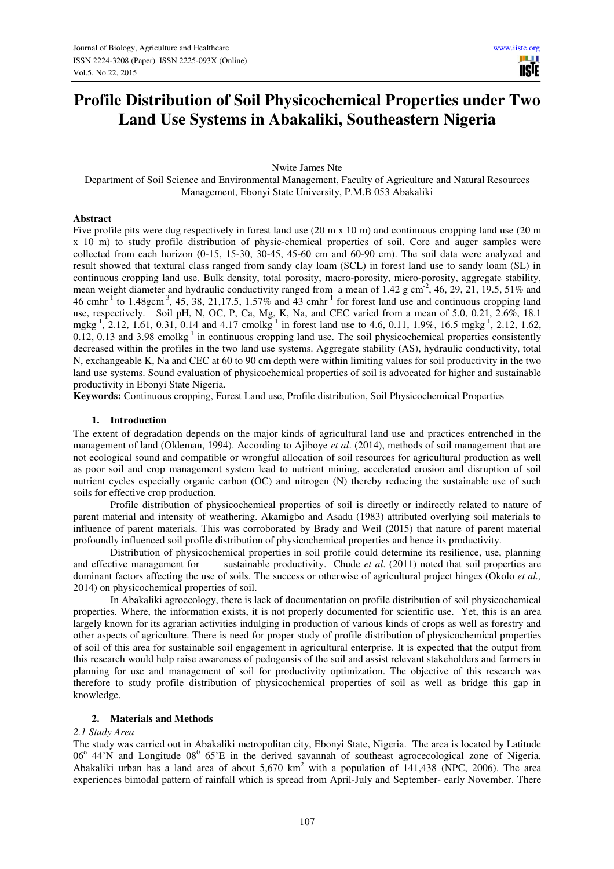# **Profile Distribution of Soil Physicochemical Properties under Two Land Use Systems in Abakaliki, Southeastern Nigeria**

Nwite James Nte

Department of Soil Science and Environmental Management, Faculty of Agriculture and Natural Resources Management, Ebonyi State University, P.M.B 053 Abakaliki

## **Abstract**

Five profile pits were dug respectively in forest land use (20 m x 10 m) and continuous cropping land use (20 m x 10 m) to study profile distribution of physic-chemical properties of soil. Core and auger samples were collected from each horizon (0-15, 15-30, 30-45, 45-60 cm and 60-90 cm). The soil data were analyzed and result showed that textural class ranged from sandy clay loam (SCL) in forest land use to sandy loam (SL) in continuous cropping land use. Bulk density, total porosity, macro-porosity, micro-porosity, aggregate stability, mean weight diameter and hydraulic conductivity ranged from a mean of 1.42 g cm<sup>-2</sup>, 46, 29, 21, 19.5, 51% and 46 cmhr<sup>-1</sup> to  $1.48$ gcm<sup>-3</sup>, 45, 38, 21,17.5, 1.57% and 43 cmhr<sup>-1</sup> for forest land use and continuous cropping land use, respectively. Soil pH, N, OC, P, Ca, Mg, K, Na, and CEC varied from a mean of 5.0, 0.21, 2.6%, 18.1 mgkg<sup>-1</sup>, 2.12, 1.61, 0.31, 0.14 and 4.17 cmolkg<sup>-1</sup> in forest land use to 4.6, 0.11, 1.9%, 16.5 mgkg<sup>-1</sup>, 2.12, 1.62,  $0.12$ ,  $0.13$  and  $3.98$  cmolkg<sup>-1</sup> in continuous cropping land use. The soil physicochemical properties consistently decreased within the profiles in the two land use systems. Aggregate stability (AS), hydraulic conductivity, total N, exchangeable K, Na and CEC at 60 to 90 cm depth were within limiting values for soil productivity in the two land use systems. Sound evaluation of physicochemical properties of soil is advocated for higher and sustainable productivity in Ebonyi State Nigeria.

**Keywords:** Continuous cropping, Forest Land use, Profile distribution, Soil Physicochemical Properties

# **1. Introduction**

The extent of degradation depends on the major kinds of agricultural land use and practices entrenched in the management of land (Oldeman, 1994). According to Ajiboye *et al*. (2014), methods of soil management that are not ecological sound and compatible or wrongful allocation of soil resources for agricultural production as well as poor soil and crop management system lead to nutrient mining, accelerated erosion and disruption of soil nutrient cycles especially organic carbon (OC) and nitrogen (N) thereby reducing the sustainable use of such soils for effective crop production.

 Profile distribution of physicochemical properties of soil is directly or indirectly related to nature of parent material and intensity of weathering. Akamigbo and Asadu (1983) attributed overlying soil materials to influence of parent materials. This was corroborated by Brady and Weil (2015) that nature of parent material profoundly influenced soil profile distribution of physicochemical properties and hence its productivity.

 Distribution of physicochemical properties in soil profile could determine its resilience, use, planning and effective management for sustainable productivity. Chude *et al*. (2011) noted that soil properties are dominant factors affecting the use of soils. The success or otherwise of agricultural project hinges (Okolo *et al.,*  2014) on physicochemical properties of soil.

 In Abakaliki agroecology, there is lack of documentation on profile distribution of soil physicochemical properties. Where, the information exists, it is not properly documented for scientific use. Yet, this is an area largely known for its agrarian activities indulging in production of various kinds of crops as well as forestry and other aspects of agriculture. There is need for proper study of profile distribution of physicochemical properties of soil of this area for sustainable soil engagement in agricultural enterprise. It is expected that the output from this research would help raise awareness of pedogensis of the soil and assist relevant stakeholders and farmers in planning for use and management of soil for productivity optimization. The objective of this research was therefore to study profile distribution of physicochemical properties of soil as well as bridge this gap in knowledge.

#### **2. Materials and Methods**

#### *2.1 Study Area*

The study was carried out in Abakaliki metropolitan city, Ebonyi State, Nigeria. The area is located by Latitude  $06^{\circ}$  44'N and Longitude  $08^{\circ}$  65'E in the derived savannah of southeast agrocecological zone of Nigeria. Abakaliki urban has a land area of about  $5{,}670 \text{ km}^2$  with a population of  $141{,}438$  (NPC, 2006). The area experiences bimodal pattern of rainfall which is spread from April-July and September- early November. There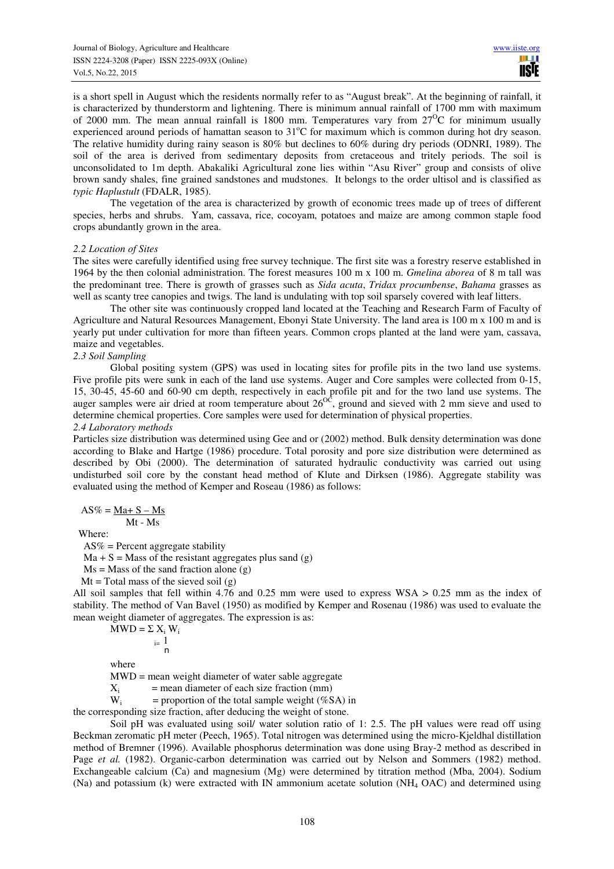is a short spell in August which the residents normally refer to as "August break". At the beginning of rainfall, it is characterized by thunderstorm and lightening. There is minimum annual rainfall of 1700 mm with maximum of 2000 mm. The mean annual rainfall is 1800 mm. Temperatures vary from  $27^{\circ}$ C for minimum usually experienced around periods of hamattan season to  $31^{\circ}$ C for maximum which is common during hot dry season. The relative humidity during rainy season is 80% but declines to 60% during dry periods (ODNRI, 1989). The soil of the area is derived from sedimentary deposits from cretaceous and tritely periods. The soil is unconsolidated to 1m depth. Abakaliki Agricultural zone lies within "Asu River" group and consists of olive brown sandy shales, fine grained sandstones and mudstones. It belongs to the order ultisol and is classified as *typic Haplustult* (FDALR, 1985).

 The vegetation of the area is characterized by growth of economic trees made up of trees of different species, herbs and shrubs. Yam, cassava, rice, cocoyam, potatoes and maize are among common staple food crops abundantly grown in the area.

#### *2.2 Location of Sites*

The sites were carefully identified using free survey technique. The first site was a forestry reserve established in 1964 by the then colonial administration. The forest measures 100 m x 100 m. *Gmelina aborea* of 8 m tall was the predominant tree. There is growth of grasses such as *Sida acuta*, *Tridax procumbense*, *Bahama* grasses as well as scanty tree canopies and twigs. The land is undulating with top soil sparsely covered with leaf litters.

 The other site was continuously cropped land located at the Teaching and Research Farm of Faculty of Agriculture and Natural Resources Management, Ebonyi State University. The land area is 100 m x 100 m and is yearly put under cultivation for more than fifteen years. Common crops planted at the land were yam, cassava, maize and vegetables.

#### *2.3 Soil Sampling*

 Global positing system (GPS) was used in locating sites for profile pits in the two land use systems. Five profile pits were sunk in each of the land use systems. Auger and Core samples were collected from 0-15, 15, 30-45, 45-60 and 60-90 cm depth, respectively in each profile pit and for the two land use systems. The auger samples were air dried at room temperature about  $26^{O<sup>c</sup>}$ , ground and sieved with 2 mm sieve and used to determine chemical properties. Core samples were used for determination of physical properties. *2.4 Laboratory methods* 

Particles size distribution was determined using Gee and or (2002) method. Bulk density determination was done according to Blake and Hartge (1986) procedure. Total porosity and pore size distribution were determined as described by Obi (2000). The determination of saturated hydraulic conductivity was carried out using undisturbed soil core by the constant head method of Klute and Dirksen (1986). Aggregate stability was evaluated using the method of Kemper and Roseau (1986) as follows:

$$
AS\% = \underline{Ma} + S - Ms
$$

Mt - Ms

Where:

AS% = Percent aggregate stability

 $Ma + S = Mass$  of the resistant aggregates plus sand (g)

 $Ms = Mass$  of the sand fraction alone  $(g)$ 

 $Mt = Total mass of the sieved soil (g)$ 

All soil samples that fell within 4.76 and 0.25 mm were used to express WSA > 0.25 mm as the index of stability. The method of Van Bavel (1950) as modified by Kemper and Rosenau (1986) was used to evaluate the mean weight diameter of aggregates. The expression is as:

$$
MWD = \sum_{i=1}^{N} X_i W_i
$$

where

MWD = mean weight diameter of water sable aggregate

 $X_i$  = mean diameter of each size fraction (mm)<br>W<sub>i</sub> = proportion of the total sample weight (%S) = proportion of the total sample weight (%SA) in

the corresponding size fraction, after deducing the weight of stone.

Soil pH was evaluated using soil/ water solution ratio of 1: 2.5. The pH values were read off using Beckman zeromatic pH meter (Peech, 1965). Total nitrogen was determined using the micro-Kjeldhal distillation method of Bremner (1996). Available phosphorus determination was done using Bray-2 method as described in Page *et al.* (1982). Organic-carbon determination was carried out by Nelson and Sommers (1982) method. Exchangeable calcium (Ca) and magnesium (Mg) were determined by titration method (Mba, 2004). Sodium (Na) and potassium (k) were extracted with IN ammonium acetate solution (NH4 OAC) and determined using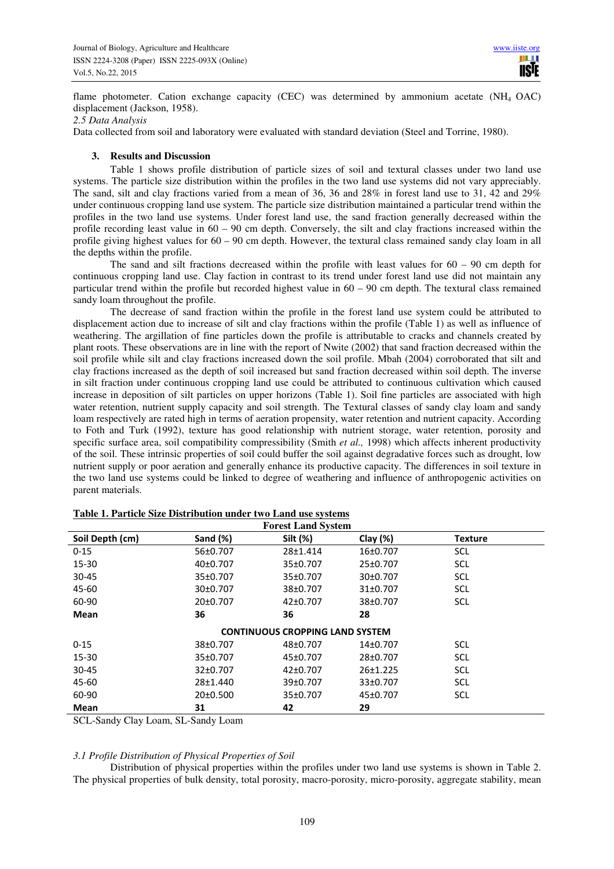flame photometer. Cation exchange capacity (CEC) was determined by ammonium acetate (NH<sub>4</sub> OAC) displacement (Jackson, 1958).

*2.5 Data Analysis* 

Data collected from soil and laboratory were evaluated with standard deviation (Steel and Torrine, 1980).

## **3. Results and Discussion**

Table 1 shows profile distribution of particle sizes of soil and textural classes under two land use systems. The particle size distribution within the profiles in the two land use systems did not vary appreciably. The sand, silt and clay fractions varied from a mean of 36, 36 and 28% in forest land use to 31, 42 and 29% under continuous cropping land use system. The particle size distribution maintained a particular trend within the profiles in the two land use systems. Under forest land use, the sand fraction generally decreased within the profile recording least value in  $60 - 90$  cm depth. Conversely, the silt and clay fractions increased within the profile giving highest values for 60 – 90 cm depth. However, the textural class remained sandy clay loam in all the depths within the profile.

The sand and silt fractions decreased within the profile with least values for  $60 - 90$  cm depth for continuous cropping land use. Clay faction in contrast to its trend under forest land use did not maintain any particular trend within the profile but recorded highest value in 60 – 90 cm depth. The textural class remained sandy loam throughout the profile.

 The decrease of sand fraction within the profile in the forest land use system could be attributed to displacement action due to increase of silt and clay fractions within the profile (Table 1) as well as influence of weathering. The argillation of fine particles down the profile is attributable to cracks and channels created by plant roots. These observations are in line with the report of Nwite (2002) that sand fraction decreased within the soil profile while silt and clay fractions increased down the soil profile. Mbah (2004) corroborated that silt and clay fractions increased as the depth of soil increased but sand fraction decreased within soil depth. The inverse in silt fraction under continuous cropping land use could be attributed to continuous cultivation which caused increase in deposition of silt particles on upper horizons (Table 1). Soil fine particles are associated with high water retention, nutrient supply capacity and soil strength. The Textural classes of sandy clay loam and sandy loam respectively are rated high in terms of aeration propensity, water retention and nutrient capacity. According to Foth and Turk (1992), texture has good relationship with nutrient storage, water retention, porosity and specific surface area, soil compatibility compressibility (Smith *et al.,* 1998) which affects inherent productivity of the soil. These intrinsic properties of soil could buffer the soil against degradative forces such as drought, low nutrient supply or poor aeration and generally enhance its productive capacity. The differences in soil texture in the two land use systems could be linked to degree of weathering and influence of anthropogenic activities on parent materials.

| <b>Forest Land System</b> |                       |                                        |                       |                |  |  |  |  |  |
|---------------------------|-----------------------|----------------------------------------|-----------------------|----------------|--|--|--|--|--|
| Soil Depth (cm)           | Sand $(\%)$           | Silt (%)                               | Clay $(\%)$           | <b>Texture</b> |  |  |  |  |  |
| $0 - 15$                  | 56±0.707              | 28±1.414                               | 16±0.707              | <b>SCL</b>     |  |  |  |  |  |
| $15 - 30$                 | 40 <sub>±</sub> 0.707 | 35±0.707                               | 25±0.707              | <b>SCL</b>     |  |  |  |  |  |
| $30 - 45$                 | 35±0.707              | 35±0.707                               | 30±0.707              | <b>SCL</b>     |  |  |  |  |  |
| 45-60                     | 30±0.707              | 38±0.707                               | 31±0.707              | <b>SCL</b>     |  |  |  |  |  |
| 60-90                     | 20±0.707              | $42 \pm 0.707$                         | 38±0.707              | <b>SCL</b>     |  |  |  |  |  |
| <b>Mean</b>               | 36                    | 36                                     | 28                    |                |  |  |  |  |  |
|                           |                       | <b>CONTINUOUS CROPPING LAND SYSTEM</b> |                       |                |  |  |  |  |  |
| $0 - 15$                  | 38±0.707              | $48+0.707$                             | 14 <sub>±</sub> 0.707 | <b>SCL</b>     |  |  |  |  |  |
| $15 - 30$                 | 35±0.707              | 45±0.707                               | 28±0.707              | <b>SCL</b>     |  |  |  |  |  |
| $30 - 45$                 | 32±0.707              | $42 \pm 0.707$                         | 26±1.225              | <b>SCL</b>     |  |  |  |  |  |
| 45-60                     | 28±1.440              | 39±0.707                               | 33±0.707              | <b>SCL</b>     |  |  |  |  |  |
| 60-90                     | 20±0.500              | 35±0.707                               | 45±0.707              | <b>SCL</b>     |  |  |  |  |  |
| Mean                      | 31                    | 42                                     | 29                    |                |  |  |  |  |  |

|  | Table 1. Particle Size Distribution under two Land use systems |  |  |
|--|----------------------------------------------------------------|--|--|
|  |                                                                |  |  |

SCL-Sandy Clay Loam, SL-Sandy Loam

## *3.1 Profile Distribution of Physical Properties of Soil*

 Distribution of physical properties within the profiles under two land use systems is shown in Table 2. The physical properties of bulk density, total porosity, macro-porosity, micro-porosity, aggregate stability, mean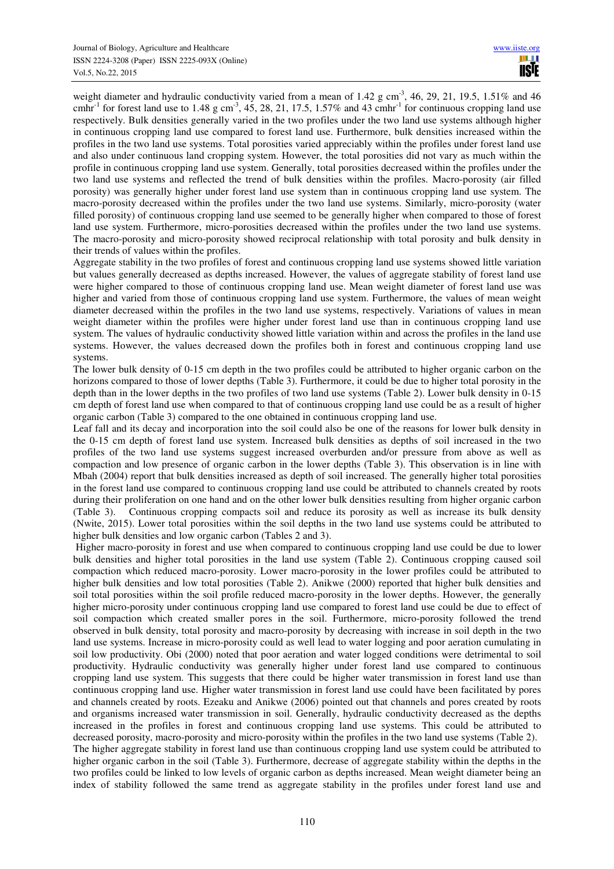weight diameter and hydraulic conductivity varied from a mean of 1.42 g cm<sup>-3</sup>, 46, 29, 21, 19.5, 1.51% and 46 cmhr<sup>-1</sup> for forest land use to 1.48 g cm<sup>-3</sup>, 45, 28, 21, 17.5, 1.57% and 43 cmhr<sup>-1</sup> for continuous cropping land use respectively. Bulk densities generally varied in the two profiles under the two land use systems although higher in continuous cropping land use compared to forest land use. Furthermore, bulk densities increased within the profiles in the two land use systems. Total porosities varied appreciably within the profiles under forest land use and also under continuous land cropping system. However, the total porosities did not vary as much within the profile in continuous cropping land use system. Generally, total porosities decreased within the profiles under the two land use systems and reflected the trend of bulk densities within the profiles. Macro-porosity (air filled porosity) was generally higher under forest land use system than in continuous cropping land use system. The macro-porosity decreased within the profiles under the two land use systems. Similarly, micro-porosity (water filled porosity) of continuous cropping land use seemed to be generally higher when compared to those of forest land use system. Furthermore, micro-porosities decreased within the profiles under the two land use systems. The macro-porosity and micro-porosity showed reciprocal relationship with total porosity and bulk density in their trends of values within the profiles.

Aggregate stability in the two profiles of forest and continuous cropping land use systems showed little variation but values generally decreased as depths increased. However, the values of aggregate stability of forest land use were higher compared to those of continuous cropping land use. Mean weight diameter of forest land use was higher and varied from those of continuous cropping land use system. Furthermore, the values of mean weight diameter decreased within the profiles in the two land use systems, respectively. Variations of values in mean weight diameter within the profiles were higher under forest land use than in continuous cropping land use system. The values of hydraulic conductivity showed little variation within and across the profiles in the land use systems. However, the values decreased down the profiles both in forest and continuous cropping land use systems.

The lower bulk density of 0-15 cm depth in the two profiles could be attributed to higher organic carbon on the horizons compared to those of lower depths (Table 3). Furthermore, it could be due to higher total porosity in the depth than in the lower depths in the two profiles of two land use systems (Table 2). Lower bulk density in 0-15 cm depth of forest land use when compared to that of continuous cropping land use could be as a result of higher organic carbon (Table 3) compared to the one obtained in continuous cropping land use.

Leaf fall and its decay and incorporation into the soil could also be one of the reasons for lower bulk density in the 0-15 cm depth of forest land use system. Increased bulk densities as depths of soil increased in the two profiles of the two land use systems suggest increased overburden and/or pressure from above as well as compaction and low presence of organic carbon in the lower depths (Table 3). This observation is in line with Mbah (2004) report that bulk densities increased as depth of soil increased. The generally higher total porosities in the forest land use compared to continuous cropping land use could be attributed to channels created by roots during their proliferation on one hand and on the other lower bulk densities resulting from higher organic carbon (Table 3). Continuous cropping compacts soil and reduce its porosity as well as increase its bulk density (Nwite, 2015). Lower total porosities within the soil depths in the two land use systems could be attributed to higher bulk densities and low organic carbon (Tables 2 and 3).

 Higher macro-porosity in forest and use when compared to continuous cropping land use could be due to lower bulk densities and higher total porosities in the land use system (Table 2). Continuous cropping caused soil compaction which reduced macro-porosity. Lower macro-porosity in the lower profiles could be attributed to higher bulk densities and low total porosities (Table 2). Anikwe (2000) reported that higher bulk densities and soil total porosities within the soil profile reduced macro-porosity in the lower depths. However, the generally higher micro-porosity under continuous cropping land use compared to forest land use could be due to effect of soil compaction which created smaller pores in the soil. Furthermore, micro-porosity followed the trend observed in bulk density, total porosity and macro-porosity by decreasing with increase in soil depth in the two land use systems. Increase in micro-porosity could as well lead to water logging and poor aeration cumulating in soil low productivity. Obi (2000) noted that poor aeration and water logged conditions were detrimental to soil productivity. Hydraulic conductivity was generally higher under forest land use compared to continuous cropping land use system. This suggests that there could be higher water transmission in forest land use than continuous cropping land use. Higher water transmission in forest land use could have been facilitated by pores and channels created by roots. Ezeaku and Anikwe (2006) pointed out that channels and pores created by roots and organisms increased water transmission in soil. Generally, hydraulic conductivity decreased as the depths increased in the profiles in forest and continuous cropping land use systems. This could be attributed to decreased porosity, macro-porosity and micro-porosity within the profiles in the two land use systems (Table 2). The higher aggregate stability in forest land use than continuous cropping land use system could be attributed to higher organic carbon in the soil (Table 3). Furthermore, decrease of aggregate stability within the depths in the two profiles could be linked to low levels of organic carbon as depths increased. Mean weight diameter being an index of stability followed the same trend as aggregate stability in the profiles under forest land use and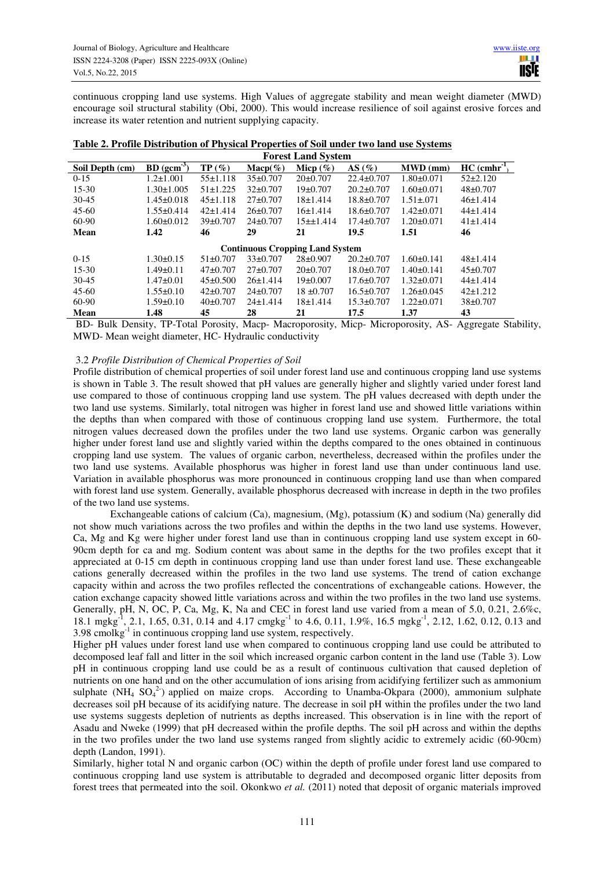continuous cropping land use systems. High Values of aggregate stability and mean weight diameter (MWD) encourage soil structural stability (Obi, 2000). This would increase resilience of soil against erosive forces and increase its water retention and nutrient supplying capacity.

| <b>Forest Land System</b> |                  |                |                   |                                        |                  |                  |                            |  |  |
|---------------------------|------------------|----------------|-------------------|----------------------------------------|------------------|------------------|----------------------------|--|--|
| Soil Depth (cm)           | $BD (gcm-3)$     | TP(%)          | $\text{Macp}(\%)$ | Micp $(\% )$                           | AS $(\%)$        | $MWD$ (mm)       | $HC$ (cmhr <sup>-1</sup> ) |  |  |
| $0 - 15$                  | $1.2 \pm 1.001$  | $55 \pm 1.118$ | $35\pm0.707$      | $20\pm0.707$                           | $22.4 \pm 0.707$ | $1.80 \pm 0.071$ | $52\pm2.120$               |  |  |
| $15 - 30$                 | $1.30 \pm 1.005$ | $51 \pm 1.225$ | $32\pm 0.707$     | $19\pm 0.707$                          | $20.2 \pm 0.707$ | $1.60 \pm 0.071$ | $48 + 0.707$               |  |  |
| $30 - 45$                 | $1.45 \pm 0.018$ | $45 \pm 1.118$ | $27 \pm 0.707$    | 18±1.414                               | $18.8 \pm 0.707$ | $1.51 \pm 0.071$ | $46 \pm 1.414$             |  |  |
| $45 - 60$                 | $1.55 \pm 0.414$ | $42 \pm 1.414$ | $26\pm 0.707$     | 16±1.414                               | $18.6 \pm 0.707$ | $1.42 \pm 0.071$ | $44\pm1.414$               |  |  |
| 60-90                     | $1.60 \pm 0.012$ | $39\pm 0.707$  | $24\pm 0.707$     | 15±1.414                               | $17.4 \pm 0.707$ | $1.20 \pm 0.071$ | $41 \pm 1.414$             |  |  |
| Mean                      | 1.42             | 46             | 29                | 21                                     | 19.5             | 1.51             | 46                         |  |  |
|                           |                  |                |                   | <b>Continuous Cropping Land System</b> |                  |                  |                            |  |  |
| $0 - 15$                  | $1.30 \pm 0.15$  | $51\pm0.707$   | $33\pm 0.707$     | $28 \pm 0.907$                         | $20.2 \pm 0.707$ | $1.60 \pm 0.141$ | $48 \pm 1.414$             |  |  |
| $15 - 30$                 | $1.49\pm0.11$    | $47+0.707$     | $27 \pm 0.707$    | $20\pm0.707$                           | $18.0 \pm 0.707$ | $1.40\pm0.141$   | $45 \pm 0.707$             |  |  |
| $30-45$                   | $1.47 \pm 0.01$  | $45\pm0.500$   | 26±1.414          | $19\pm0.007$                           | $17.6 \pm 0.707$ | $1.32 \pm 0.071$ | $44\pm1.414$               |  |  |
| $45 - 60$                 | $1.55 \pm 0.10$  | $42\pm 0.707$  | $24\pm 0.707$     | $18 \pm 0.707$                         | $16.5 \pm 0.707$ | $1.26 \pm 0.045$ | $42 \pm 1.212$             |  |  |
| 60-90                     | $1.59 \pm 0.10$  | $40\pm 0.707$  | $24 \pm 1.414$    | 18±1.414                               | $15.3 \pm 0.707$ | $1.22 \pm 0.071$ | 38±0.707                   |  |  |
| Mean                      | 1.48             | 45             | 28                | 21                                     | 17.5             | 1.37             | 43                         |  |  |

|  | Table 2. Profile Distribution of Physical Properties of Soil under two land use Systems |  |                                                                  |  |  |  |  |
|--|-----------------------------------------------------------------------------------------|--|------------------------------------------------------------------|--|--|--|--|
|  |                                                                                         |  | $\mathbf{r}$ $\mathbf{r}$ $\mathbf{r}$ $\mathbf{r}$ $\mathbf{r}$ |  |  |  |  |

 BD- Bulk Density, TP-Total Porosity, Macp- Macroporosity, Micp- Microporosity, AS- Aggregate Stability, MWD- Mean weight diameter, HC- Hydraulic conductivity

## 3.2 *Profile Distribution of Chemical Properties of Soil*

Profile distribution of chemical properties of soil under forest land use and continuous cropping land use systems is shown in Table 3. The result showed that pH values are generally higher and slightly varied under forest land use compared to those of continuous cropping land use system. The pH values decreased with depth under the two land use systems. Similarly, total nitrogen was higher in forest land use and showed little variations within the depths than when compared with those of continuous cropping land use system. Furthermore, the total nitrogen values decreased down the profiles under the two land use systems. Organic carbon was generally higher under forest land use and slightly varied within the depths compared to the ones obtained in continuous cropping land use system. The values of organic carbon, nevertheless, decreased within the profiles under the two land use systems. Available phosphorus was higher in forest land use than under continuous land use. Variation in available phosphorus was more pronounced in continuous cropping land use than when compared with forest land use system. Generally, available phosphorus decreased with increase in depth in the two profiles of the two land use systems.

 Exchangeable cations of calcium (Ca), magnesium, (Mg), potassium (K) and sodium (Na) generally did not show much variations across the two profiles and within the depths in the two land use systems. However, Ca, Mg and Kg were higher under forest land use than in continuous cropping land use system except in 60- 90cm depth for ca and mg. Sodium content was about same in the depths for the two profiles except that it appreciated at 0-15 cm depth in continuous cropping land use than under forest land use. These exchangeable cations generally decreased within the profiles in the two land use systems. The trend of cation exchange capacity within and across the two profiles reflected the concentrations of exchangeable cations. However, the cation exchange capacity showed little variations across and within the two profiles in the two land use systems. Generally, pH, N, OC, P, Ca, Mg, K, Na and CEC in forest land use varied from a mean of 5.0, 0.21, 2.6%c, 18.1 mgkg<sup>-1</sup>, 2.1, 1.65, 0.31, 0.14 and 4.17 cmgkg<sup>-1</sup> to 4.6, 0.11, 1.9%, 16.5 mgkg<sup>-1</sup>, 2.12, 1.62, 0.12, 0.13 and  $3.98$  cmolkg<sup>-1</sup> in continuous cropping land use system, respectively.

Higher pH values under forest land use when compared to continuous cropping land use could be attributed to decomposed leaf fall and litter in the soil which increased organic carbon content in the land use (Table 3). Low pH in continuous cropping land use could be as a result of continuous cultivation that caused depletion of nutrients on one hand and on the other accumulation of ions arising from acidifying fertilizer such as ammonium sulphate (NH<sub>4</sub> SO<sub>4</sub><sup>2</sup>) applied on maize crops. According to Unamba-Okpara (2000), ammonium sulphate decreases soil pH because of its acidifying nature. The decrease in soil pH within the profiles under the two land use systems suggests depletion of nutrients as depths increased. This observation is in line with the report of Asadu and Nweke (1999) that pH decreased within the profile depths. The soil pH across and within the depths in the two profiles under the two land use systems ranged from slightly acidic to extremely acidic (60-90cm) depth (Landon, 1991).

Similarly, higher total N and organic carbon (OC) within the depth of profile under forest land use compared to continuous cropping land use system is attributable to degraded and decomposed organic litter deposits from forest trees that permeated into the soil. Okonkwo *et al.* (2011) noted that deposit of organic materials improved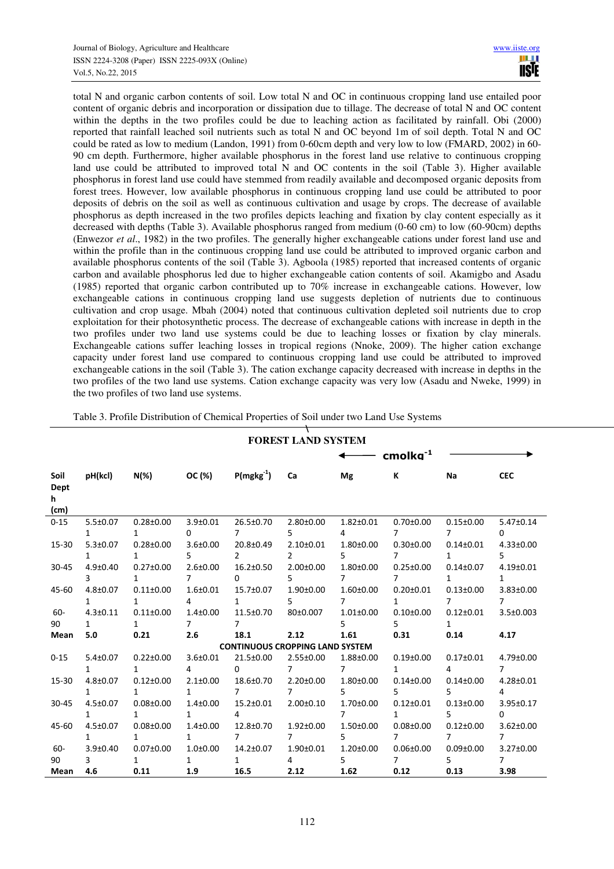total N and organic carbon contents of soil. Low total N and OC in continuous cropping land use entailed poor content of organic debris and incorporation or dissipation due to tillage. The decrease of total N and OC content within the depths in the two profiles could be due to leaching action as facilitated by rainfall. Obi (2000) reported that rainfall leached soil nutrients such as total N and OC beyond 1m of soil depth. Total N and OC could be rated as low to medium (Landon, 1991) from 0-60cm depth and very low to low (FMARD, 2002) in 60- 90 cm depth. Furthermore, higher available phosphorus in the forest land use relative to continuous cropping land use could be attributed to improved total N and OC contents in the soil (Table 3). Higher available phosphorus in forest land use could have stemmed from readily available and decomposed organic deposits from forest trees. However, low available phosphorus in continuous cropping land use could be attributed to poor deposits of debris on the soil as well as continuous cultivation and usage by crops. The decrease of available phosphorus as depth increased in the two profiles depicts leaching and fixation by clay content especially as it decreased with depths (Table 3). Available phosphorus ranged from medium (0-60 cm) to low (60-90cm) depths (Enwezor *et al*., 1982) in the two profiles. The generally higher exchangeable cations under forest land use and within the profile than in the continuous cropping land use could be attributed to improved organic carbon and available phosphorus contents of the soil (Table 3). Agboola (1985) reported that increased contents of organic carbon and available phosphorus led due to higher exchangeable cation contents of soil. Akamigbo and Asadu (1985) reported that organic carbon contributed up to 70% increase in exchangeable cations. However, low exchangeable cations in continuous cropping land use suggests depletion of nutrients due to continuous cultivation and crop usage. Mbah (2004) noted that continuous cultivation depleted soil nutrients due to crop exploitation for their photosynthetic process. The decrease of exchangeable cations with increase in depth in the two profiles under two land use systems could be due to leaching losses or fixation by clay minerals. Exchangeable cations suffer leaching losses in tropical regions (Nnoke, 2009). The higher cation exchange capacity under forest land use compared to continuous cropping land use could be attributed to improved exchangeable cations in the soil (Table 3). The cation exchange capacity decreased with increase in depths in the two profiles of the two land use systems. Cation exchange capacity was very low (Asadu and Nweke, 1999) in the two profiles of two land use systems.

| Table 3. Profile Distribution of Chemical Properties of Soil under two Land Use Systems |  |
|-----------------------------------------------------------------------------------------|--|
|-----------------------------------------------------------------------------------------|--|

|                            | <b>FOREST LAND SYSTEM</b> |                 |                   |                                        |                 |                 |                      |                 |                 |
|----------------------------|---------------------------|-----------------|-------------------|----------------------------------------|-----------------|-----------------|----------------------|-----------------|-----------------|
|                            |                           |                 |                   |                                        |                 |                 | cmolkg <sup>-1</sup> |                 |                 |
| Soil<br>Dept<br>h.<br>(cm) | pH(kcl)                   |                 | $N(\%)$ OC $(\%)$ | $P(mgkg^{-1})$                         | Ca              | Mg              | К                    | Na              | <b>CEC</b>      |
| $0 - 15$                   | $5.5 \pm 0.07$            | $0.28 \pm 0.00$ | $3.9 + 0.01$      | 26.5±0.70                              | $2.80 \pm 0.00$ | $1.82 \pm 0.01$ | $0.70 \pm 0.00$      | $0.15 \pm 0.00$ | $5.47 \pm 0.14$ |
|                            | $\mathbf{1}$              | $\mathbf{1}$    | $\Omega$          | $\overline{7}$                         | 5.              | $\overline{4}$  | $\overline{7}$       | $\overline{7}$  | $\Omega$        |
| 15-30                      | $5.3 \pm 0.07$            | $0.28 \pm 0.00$ | $3.6 \pm 0.00$    | 20.8±0.49                              | $2.10 \pm 0.01$ | $1.80 \pm 0.00$ | $0.30 \pm 0.00$      | $0.14 \pm 0.01$ | $4.33 \pm 0.00$ |
|                            | $\mathbf{1}$              | $\mathbf{1}$    | 5                 | $\overline{2}$                         | $\mathcal{P}$   | $5 -$           | $7^{\circ}$          | $\mathbf{1}$    | 5               |
| 30-45                      | $4.9 + 0.40$              | $0.27 \pm 0.00$ | $2.6 \pm 0.00$    | $16.2 \pm 0.50$                        | $2.00 \pm 0.00$ | $1.80 + 0.00$   | $0.25 \pm 0.00$      | $0.14 \pm 0.07$ | $4.19 \pm 0.01$ |
|                            | $\overline{3}$            | $\mathbf{1}$    | $\overline{7}$    | 0                                      | 5.              | $7^{\circ}$     | $7^{\circ}$          | 1               | $\mathbf{1}$    |
| 45-60                      | $4.8 \pm 0.07$            | $0.11 \pm 0.00$ | $1.6 \pm 0.01$    | 15.7±0.07                              | $1.90 \pm 0.00$ | $1.60 \pm 0.00$ | $0.20 \pm 0.01$      | $0.13 \pm 0.00$ | $3.83 \pm 0.00$ |
|                            | 1                         | 1               | 4                 | $\mathbf{1}$                           | 5.              | $7^{\circ}$     | $\mathbf{1}$         | $\overline{7}$  | $\overline{7}$  |
| 60-                        | $4.3 \pm 0.11$            | $0.11 \pm 0.00$ | $1.4 \pm 0.00$    | 11.5±0.70                              | 80±0.007        | $1.01 \pm 0.00$ | $0.10 \pm 0.00$      | $0.12 \pm 0.01$ | $3.5 \pm 0.003$ |
| 90                         | $\mathbf{1}$              | $\mathbf{1}$    | $\overline{7}$    | $\overline{7}$                         |                 | 5               | 5.                   | $\mathbf{1}$    |                 |
| Mean                       | 5.0                       | 0.21            | 2.6               | 18.1                                   | 2.12            | 1.61            | 0.31                 | 0.14            | 4.17            |
|                            |                           |                 |                   | <b>CONTINUOUS CROPPING LAND SYSTEM</b> |                 |                 |                      |                 |                 |
| $0 - 15$                   | $5.4 \pm 0.07$            | $0.22 \pm 0.00$ | $3.6 \pm 0.01$    | 21.5±0.00                              | $2.55 \pm 0.00$ | $1.88 + 0.00$   | $0.19 \pm 0.00$      | $0.17 \pm 0.01$ | $4.79 \pm 0.00$ |
|                            | $\mathbf{1}$              | $\mathbf{1}$    | 4                 | $\Omega$                               | $7^{\circ}$     | $7^{\circ}$     | $\mathbf{1}$         | $\overline{4}$  | 7               |
| 15-30                      | $4.8 + 0.07$              | $0.12 \pm 0.00$ | $2.1 \pm 0.00$    | 18.6±0.70                              | $2.20 \pm 0.00$ | $1.80 + 0.00$   | $0.14 \pm 0.00$      | $0.14 \pm 0.00$ | $4.28 \pm 0.01$ |
|                            | $\mathbf{1}$              | $\mathbf{1}$    | $\mathbf{1}$      | 7                                      | 7               | 5.              | 5.                   | 5.              | 4               |
| $30 - 45$                  | $4.5 \pm 0.07$            | $0.08 \pm 0.00$ | $1.4 \pm 0.00$    | $15.2 \pm 0.01$                        | $2.00 \pm 0.10$ | $1.70 \pm 0.00$ | $0.12 \pm 0.01$      | $0.13 \pm 0.00$ | 3.95±0.17       |
|                            | 1                         | $\mathbf{1}$    | $\mathbf{1}$      | 4                                      |                 | $7^{\circ}$     | $\mathbf{1}$         | 5.              | 0               |
| 45-60                      | $4.5 \pm 0.07$            | $0.08 \pm 0.00$ | $1.4 \pm 0.00$    | 12.8±0.70                              | $1.92 \pm 0.00$ | $1.50 \pm 0.00$ | $0.08 + 0.00$        | $0.12 \pm 0.00$ | $3.62 \pm 0.00$ |
|                            | $\mathbf{1}$              | 1               | $\mathbf{1}$      | 7                                      | 7               | $5 -$           | 7                    | 7               | $\overline{7}$  |
| $60 -$                     | $3.9 \pm 0.40$            | $0.07 \pm 0.00$ | $1.0 + 0.00$      | $14.2 \pm 0.07$                        | $1.90 \pm 0.01$ | $1.20 \pm 0.00$ | $0.06 \pm 0.00$      | $0.09 \pm 0.00$ | $3.27 \pm 0.00$ |
| 90                         | 3                         | $\mathbf{1}$    | $\mathbf{1}$      | $\mathbf{1}$                           | 4               | 5               | $\overline{7}$       | 5.              | $\overline{7}$  |
| Mean                       | 4.6                       | 0.11            | 1.9               | 16.5                                   | 2.12            | 1.62            | 0.12                 | 0.13            | 3.98            |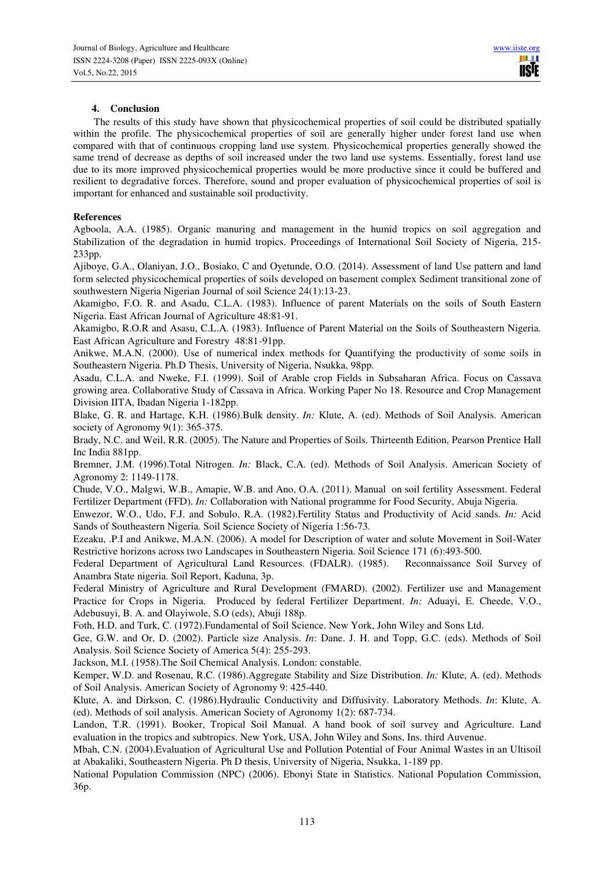## **4. Conclusion**

 The results of this study have shown that physicochemical properties of soil could be distributed spatially within the profile. The physicochemical properties of soil are generally higher under forest land use when compared with that of continuous cropping land use system. Physicochemical properties generally showed the same trend of decrease as depths of soil increased under the two land use systems. Essentially, forest land use due to its more improved physicochemical properties would be more productive since it could be buffered and resilient to degradative forces. Therefore, sound and proper evaluation of physicochemical properties of soil is important for enhanced and sustainable soil productivity.

## **References**

Agboola, A.A. (1985). Organic manuring and management in the humid tropics on soil aggregation and Stabilization of the degradation in humid tropics. Proceedings of International Soil Society of Nigeria, 215- 233pp.

Ajiboye, G.A., Olaniyan, J.O., Bosiako, C and Oyetunde, O.O. (2014). Assessment of land Use pattern and land form selected physicochemical properties of soils developed on basement complex Sediment transitional zone of southwestern Nigeria Nigerian Journal of soil Science 24(1):13-23.

Akamigbo, F.O. R. and Asadu, C.L.A. (1983). Influence of parent Materials on the soils of South Eastern Nigeria. East African Journal of Agriculture 48:81-91.

Akamigbo, R.O.R and Asasu, C.L.A. (1983). Influence of Parent Material on the Soils of Southeastern Nigeria. East African Agriculture and Forestry 48:81 -91pp.

Anikwe, M.A.N. (2000). Use of numerical index methods for Quantifying the productivity of some soils in Southeastern Nigeria. Ph.D Thesis, University of Nigeria, Nsukka, 98pp.

Asadu, C.L.A. and Nweke, F.I. (1999). Soil of Arable crop Fields in Subsaharan Africa. Focus on Cassava growing area. Collaborative Study of Cassava in Africa. Working Paper No 18. Resource and Crop Management Division IITA, Ibadan Nigeria 1-182pp.

Blake, G. R. and Hartage, K.H. (1986).Bulk density. *In:* Klute, A. (ed). Methods of Soil Analysis. American society of Agronomy 9(1): 365-375.

Brady, N.C. and Weil, R.R. (2005). The Nature and Properties of Soils. Thirteenth Edition, Pearson Prentice Hall Inc India 881pp.

Bremner, J.M. (1996).Total Nitrogen. *In:* Black, C.A. (ed). Methods of Soil Analysis. American Society of Agronomy 2: 1149-1178.

Chude, V.O., Malgwi, W.B., Amapie, W.B. and Ano, O.A. (2011). Manual on soil fertility Assessment. Federal Fertilizer Department (FFD). *In:* Collaboration with National programme for Food Security, Abuja Nigeria.

Enwezor, W.O., Udo, F.J. and Sobulo, R.A. (1982).Fertility Status and Productivity of Acid sands. *In:* Acid Sands of Southeastern Nigeria. Soil Science Society of Nigeria 1:56-73.

Ezeaku, .P.I and Anikwe, M.A.N. (2006). A model for Description of water and solute Movement in Soil-Water Restrictive horizons across two Landscapes in Southeastern Nigeria. Soil Science 171 (6):493-500.

Federal Department of Agricultural Land Resources. (FDALR). (1985). Reconnaissance Soil Survey of Anambra State nigeria. Soil Report, Kaduna, 3p.

Federal Ministry of Agriculture and Rural Development (FMARD). (2002). Fertilizer use and Management Practice for Crops in Nigeria. Produced by federal Fertilizer Department. *In:* Aduayi, E. Cheede, V.O., Adebusuyi, B. A. and Olayiwole, S.O (eds), Abuji 188p.

Foth, H.D. and Turk, C. (1972).Fundamental of Soil Science. New York, John Wiley and Sons Ltd.

Gee, G.W. and Or, D. (2002). Particle size Analysis. *In*: Dane. J. H. and Topp, G.C. (eds). Methods of Soil Analysis. Soil Science Society of America 5(4): 255-293.

Jackson, M.I. (1958).The Soil Chemical Analysis. London: constable.

Kemper, W.D. and Rosenau, R.C. (1986).Aggregate Stability and Size Distribution. *In:* Klute, A. (ed). Methods of Soil Analysis. American Society of Agronomy 9: 425-440.

Klute, A. and Dirkson, C. (1986).Hydraulic Conductivity and Diffusivity. Laboratory Methods. *In*: Klute, A. (ed). Methods of soil analysis. American Society of Agronomy 1(2): 687-734.

Landon, T.R. (1991). Booker, Tropical Soil Manual. A hand book of soil survey and Agriculture. Land evaluation in the tropics and subtropics. New York, USA, John Wiley and Sons, Ins. third Auvenue.

Mbah, C.N. (2004).Evaluation of Agricultural Use and Pollution Potential of Four Animal Wastes in an Ultisoil at Abakaliki, Southeastern Nigeria. Ph D thesis, University of Nigeria, Nsukka, 1-189 pp.

National Population Commission (NPC) (2006). Ebonyi State in Statistics. National Population Commission, 36p.